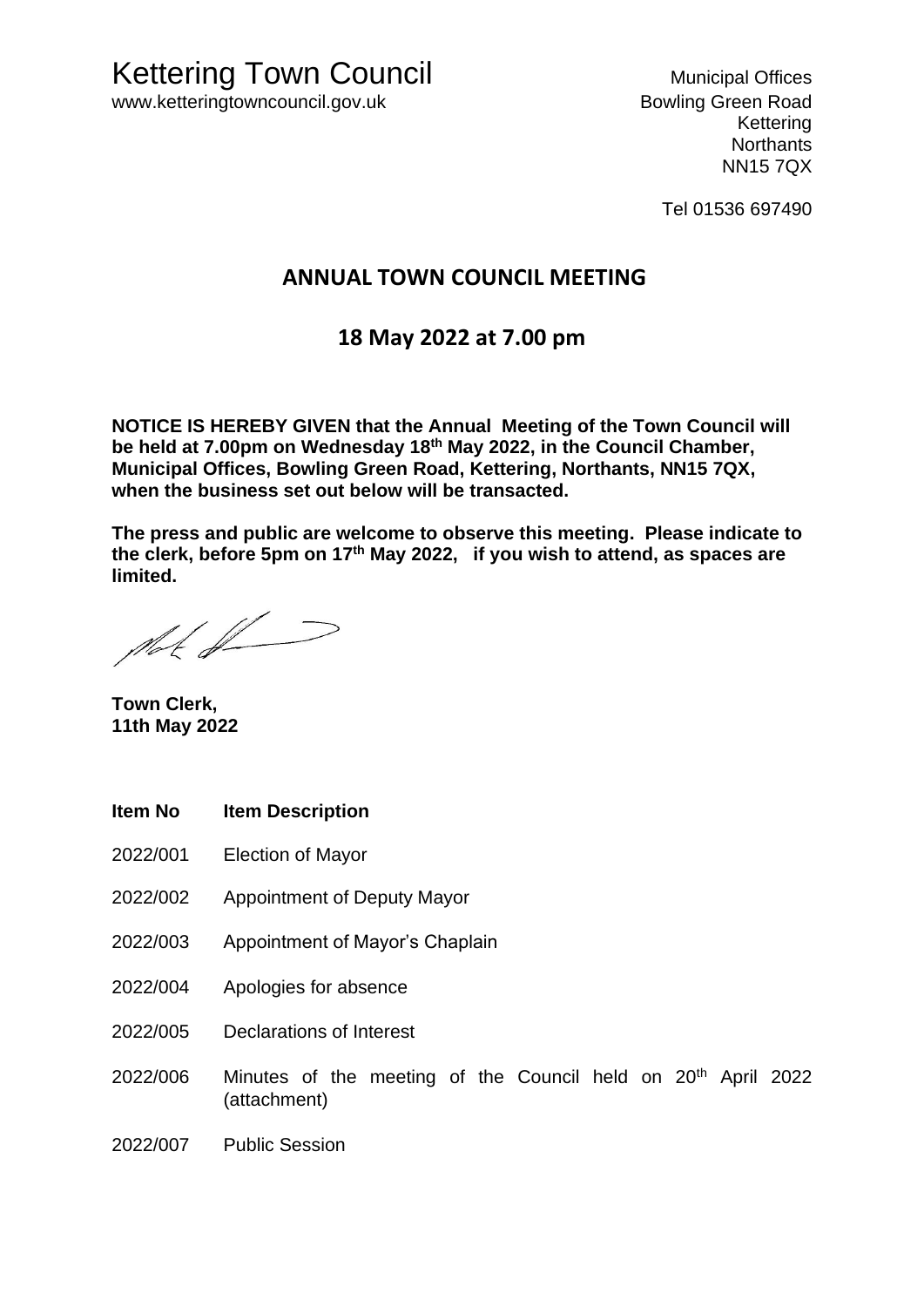Kettering **Northants** NN15 7QX

Tel 01536 697490

## **ANNUAL TOWN COUNCIL MEETING**

## **18 May 2022 at 7.00 pm**

**NOTICE IS HEREBY GIVEN that the Annual Meeting of the Town Council will be held at 7.00pm on Wednesday 18th May 2022, in the Council Chamber, Municipal Offices, Bowling Green Road, Kettering, Northants, NN15 7QX, when the business set out below will be transacted.** 

**The press and public are welcome to observe this meeting. Please indicate to the clerk, before 5pm on 17th May 2022, if you wish to attend, as spaces are limited.** 

plat of J

**Town Clerk, 11th May 2022**

- **Item No Item Description**
- 2022/001 Election of Mayor
- 2022/002 Appointment of Deputy Mayor
- 2022/003 Appointment of Mayor's Chaplain
- 2022/004 Apologies for absence
- 2022/005 Declarations of Interest
- 2022/006 Minutes of the meeting of the Council held on 20th April 2022 (attachment)
- 2022/007 Public Session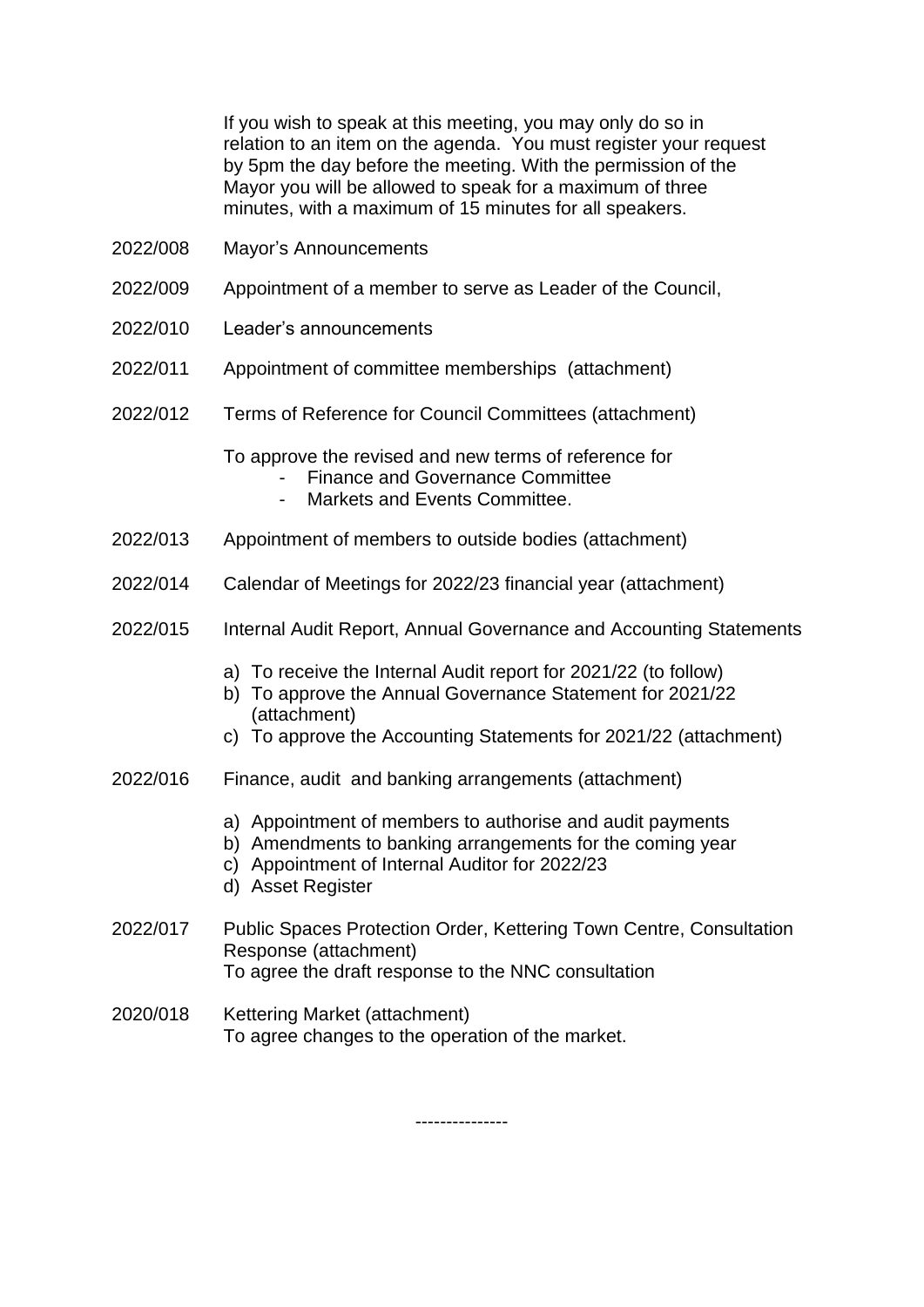If you wish to speak at this meeting, you may only do so in relation to an item on the agenda. You must register your request by 5pm the day before the meeting. With the permission of the Mayor you will be allowed to speak for a maximum of three minutes, with a maximum of 15 minutes for all speakers.

- 2022/008 Mayor's Announcements
- 2022/009 Appointment of a member to serve as Leader of the Council,
- 2022/010 Leader's announcements
- 2022/011 Appointment of committee memberships (attachment)
- 2022/012 Terms of Reference for Council Committees (attachment)

To approve the revised and new terms of reference for

- Finance and Governance Committee
- Markets and Events Committee.
- 2022/013 Appointment of members to outside bodies (attachment)
- 2022/014 Calendar of Meetings for 2022/23 financial year (attachment)
- 2022/015 Internal Audit Report, Annual Governance and Accounting Statements
	- a) To receive the Internal Audit report for 2021/22 (to follow)
	- b) To approve the Annual Governance Statement for 2021/22 (attachment)
	- c) To approve the Accounting Statements for 2021/22 (attachment)
- 2022/016 Finance, audit and banking arrangements (attachment)
	- a) Appointment of members to authorise and audit payments
	- b) Amendments to banking arrangements for the coming year
		- c) Appointment of Internal Auditor for 2022/23
		- d) Asset Register
- 2022/017 Public Spaces Protection Order, Kettering Town Centre, Consultation Response (attachment) To agree the draft response to the NNC consultation
- 2020/018 Kettering Market (attachment) To agree changes to the operation of the market.

---------------